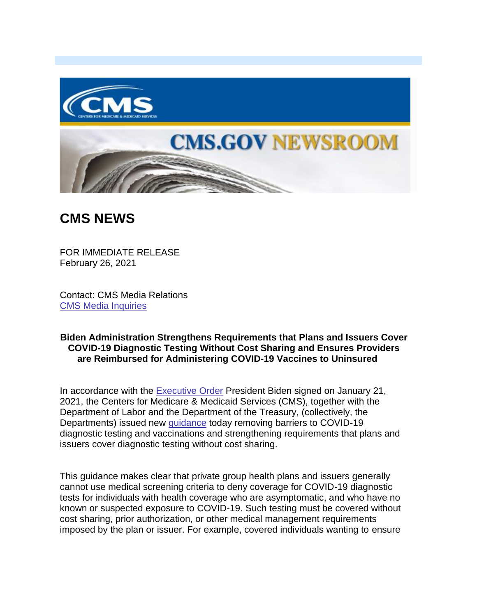



## **CMS NEWS**

FOR IMMEDIATE RELEASE February 26, 2021

Contact: CMS Media Relations [CMS Media Inquiries](https://lnks.gd/l/eyJhbGciOiJIUzI1NiJ9.eyJidWxsZXRpbl9saW5rX2lkIjoxMDAsInVyaSI6ImJwMjpjbGljayIsImJ1bGxldGluX2lkIjoiMjAyMTAyMjYuMzYwNDA2MTEiLCJ1cmwiOiJodHRwczovL3d3dy5jbXMuZ292L25ld3Nyb29tL21lZGlhLWlucXVpcmllcyJ9.vXOkP3rCCQxgk3vHKvwG5ZX7B9UB254tRytJU6-d_t4/s/1086872215/br/98428021135-l)

## **Biden Administration Strengthens Requirements that Plans and Issuers Cover COVID-19 Diagnostic Testing Without Cost Sharing and Ensures Providers are Reimbursed for Administering COVID-19 Vaccines to Uninsured**

In accordance with the [Executive Order](https://lnks.gd/l/eyJhbGciOiJIUzI1NiJ9.eyJidWxsZXRpbl9saW5rX2lkIjoxMDEsInVyaSI6ImJwMjpjbGljayIsImJ1bGxldGluX2lkIjoiMjAyMTAyMjYuMzYwNDA2MTEiLCJ1cmwiOiJodHRwczovL3d3dy53aGl0ZWhvdXNlLmdvdi9icmllZmluZy1yb29tL3ByZXNpZGVudGlhbC1hY3Rpb25zLzIwMjEvMDEvMjEvZXhlY3V0aXZlLW9yZGVyLWVzdGFibGlzaGluZy10aGUtY292aWQtMTktcGFuZGVtaWMtdGVzdGluZy1ib2FyZC1hbmQtZW5zdXJpbmctYS1zdXN0YWluYWJsZS1wdWJsaWMtaGVhbHRoLXdvcmtmb3JjZS1mb3ItY292aWQtMTktYW5kLW90aGVyLWJpb2xvZ2ljYWwtdGhyZWF0cy8ifQ.ioXeIsPSGXTVNlu0RuUhPJmz4egGQWDEDNo0AKAtgZE/s/1086872215/br/98428021135-l) President Biden signed on January 21, 2021, the Centers for Medicare & Medicaid Services (CMS), together with the Department of Labor and the Department of the Treasury, (collectively, the Departments) issued new [guidance](https://lnks.gd/l/eyJhbGciOiJIUzI1NiJ9.eyJidWxsZXRpbl9saW5rX2lkIjoxMDIsInVyaSI6ImJwMjpjbGljayIsImJ1bGxldGluX2lkIjoiMjAyMTAyMjYuMzYwNDA2MTEiLCJ1cmwiOiJodHRwczovL3d3dy5jbXMuZ292L2ZpbGVzL2RvY3VtZW50L2ZhcXMtcGFydC00NC5wZGYifQ.4mXQxgy6Hz6ze5SJWgHLQG1v1184U5AJPlC01q6-WL0/s/1086872215/br/98428021135-l) today removing barriers to COVID-19 diagnostic testing and vaccinations and strengthening requirements that plans and issuers cover diagnostic testing without cost sharing.

This guidance makes clear that private group health plans and issuers generally cannot use medical screening criteria to deny coverage for COVID-19 diagnostic tests for individuals with health coverage who are asymptomatic, and who have no known or suspected exposure to COVID-19. Such testing must be covered without cost sharing, prior authorization, or other medical management requirements imposed by the plan or issuer. For example, covered individuals wanting to ensure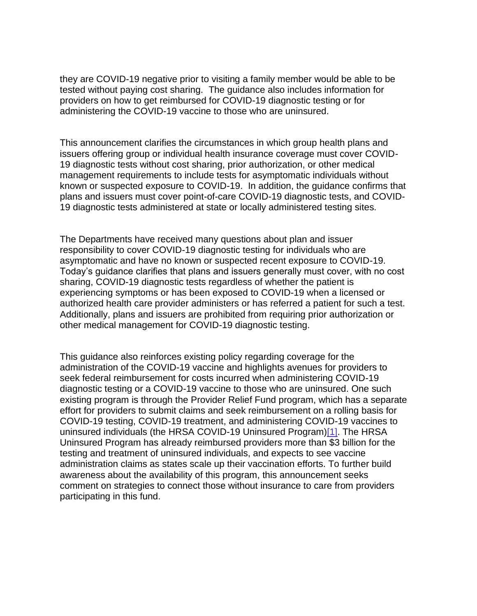they are COVID-19 negative prior to visiting a family member would be able to be tested without paying cost sharing. The guidance also includes information for providers on how to get reimbursed for COVID-19 diagnostic testing or for administering the COVID-19 vaccine to those who are uninsured.

This announcement clarifies the circumstances in which group health plans and issuers offering group or individual health insurance coverage must cover COVID-19 diagnostic tests without cost sharing, prior authorization, or other medical management requirements to include tests for asymptomatic individuals without known or suspected exposure to COVID-19. In addition, the guidance confirms that plans and issuers must cover point-of-care COVID-19 diagnostic tests, and COVID-19 diagnostic tests administered at state or locally administered testing sites.

The Departments have received many questions about plan and issuer responsibility to cover COVID-19 diagnostic testing for individuals who are asymptomatic and have no known or suspected recent exposure to COVID-19. Today's guidance clarifies that plans and issuers generally must cover, with no cost sharing, COVID-19 diagnostic tests regardless of whether the patient is experiencing symptoms or has been exposed to COVID-19 when a licensed or authorized health care provider administers or has referred a patient for such a test. Additionally, plans and issuers are prohibited from requiring prior authorization or other medical management for COVID-19 diagnostic testing.

<span id="page-1-0"></span>This guidance also reinforces existing policy regarding coverage for the administration of the COVID-19 vaccine and highlights avenues for providers to seek federal reimbursement for costs incurred when administering COVID-19 diagnostic testing or a COVID-19 vaccine to those who are uninsured. One such existing program is through the Provider Relief Fund program, which has a separate effort for providers to submit claims and seek reimbursement on a rolling basis for COVID-19 testing, COVID-19 treatment, and administering COVID-19 vaccines to uninsured individuals (the HRSA COVID-19 Uninsured Program[\)\[1\].](#page-2-0) The HRSA Uninsured Program has already reimbursed providers more than \$3 billion for the testing and treatment of uninsured individuals, and expects to see vaccine administration claims as states scale up their vaccination efforts. To further build awareness about the availability of this program, this announcement seeks comment on strategies to connect those without insurance to care from providers participating in this fund.